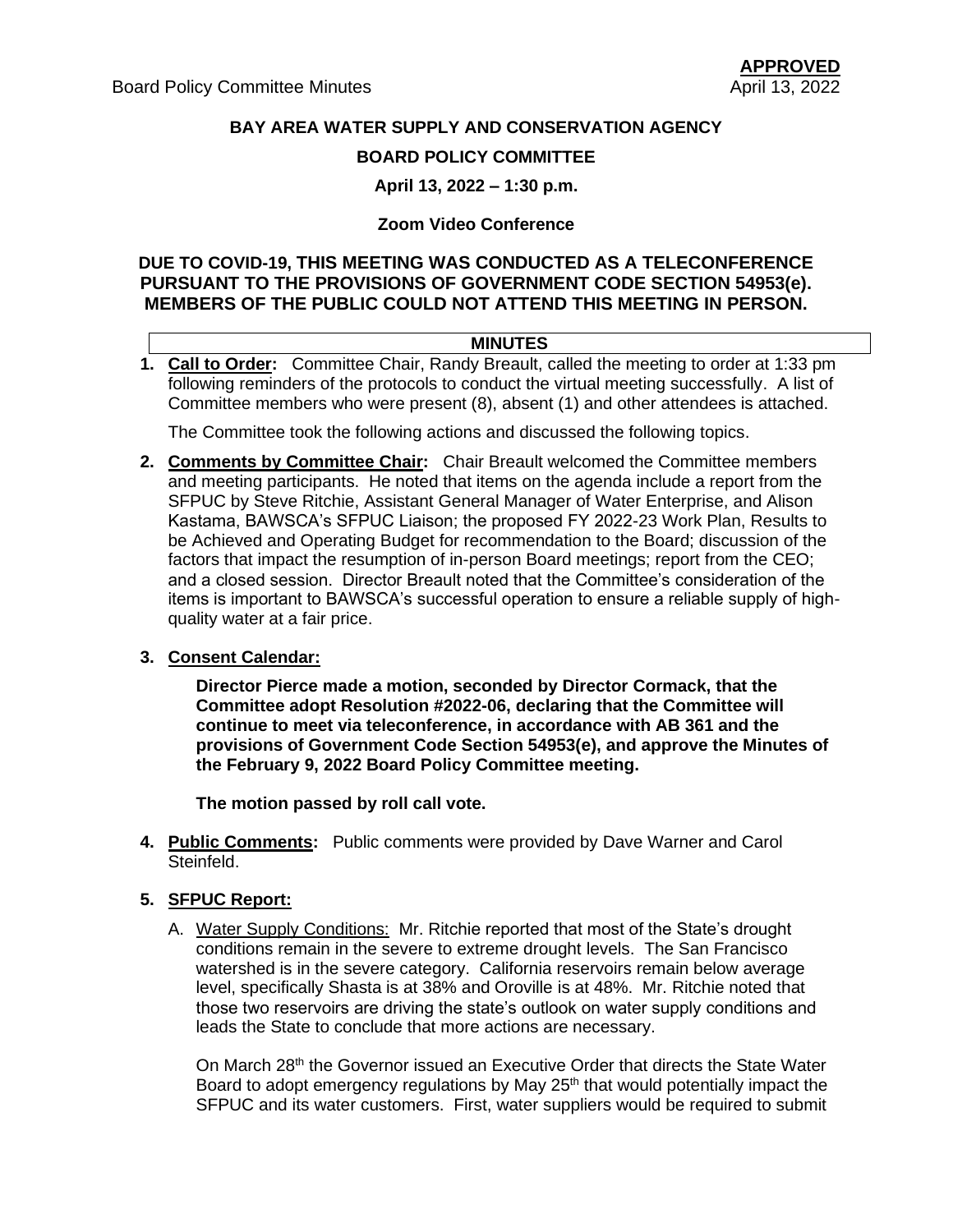## **BAY AREA WATER SUPPLY AND CONSERVATION AGENCY**

### **BOARD POLICY COMMITTEE**

**April 13, 2022 – 1:30 p.m.**

#### **Zoom Video Conference**

## **DUE TO COVID-19, THIS MEETING WAS CONDUCTED AS A TELECONFERENCE PURSUANT TO THE PROVISIONS OF GOVERNMENT CODE SECTION 54953(e). MEMBERS OF THE PUBLIC COULD NOT ATTEND THIS MEETING IN PERSON.**

#### **MINUTES**

**1. Call to Order:** Committee Chair, Randy Breault, called the meeting to order at 1:33 pm following reminders of the protocols to conduct the virtual meeting successfully. A list of Committee members who were present (8), absent (1) and other attendees is attached.

The Committee took the following actions and discussed the following topics.

**2. Comments by Committee Chair:** Chair Breault welcomed the Committee members and meeting participants. He noted that items on the agenda include a report from the SFPUC by Steve Ritchie, Assistant General Manager of Water Enterprise, and Alison Kastama, BAWSCA's SFPUC Liaison; the proposed FY 2022-23 Work Plan, Results to be Achieved and Operating Budget for recommendation to the Board; discussion of the factors that impact the resumption of in-person Board meetings; report from the CEO; and a closed session. Director Breault noted that the Committee's consideration of the items is important to BAWSCA's successful operation to ensure a reliable supply of highquality water at a fair price.

#### **3. Consent Calendar:**

**Director Pierce made a motion, seconded by Director Cormack, that the Committee adopt Resolution #2022-06, declaring that the Committee will continue to meet via teleconference, in accordance with AB 361 and the provisions of Government Code Section 54953(e), and approve the Minutes of the February 9, 2022 Board Policy Committee meeting.** 

**The motion passed by roll call vote.**

- **4. Public Comments:** Public comments were provided by Dave Warner and Carol Steinfeld.
- **5. SFPUC Report:** 
	- A. Water Supply Conditions: Mr. Ritchie reported that most of the State's drought conditions remain in the severe to extreme drought levels. The San Francisco watershed is in the severe category. California reservoirs remain below average level, specifically Shasta is at 38% and Oroville is at 48%. Mr. Ritchie noted that those two reservoirs are driving the state's outlook on water supply conditions and leads the State to conclude that more actions are necessary.

On March 28<sup>th</sup> the Governor issued an Executive Order that directs the State Water Board to adopt emergency regulations by May 25<sup>th</sup> that would potentially impact the SFPUC and its water customers. First, water suppliers would be required to submit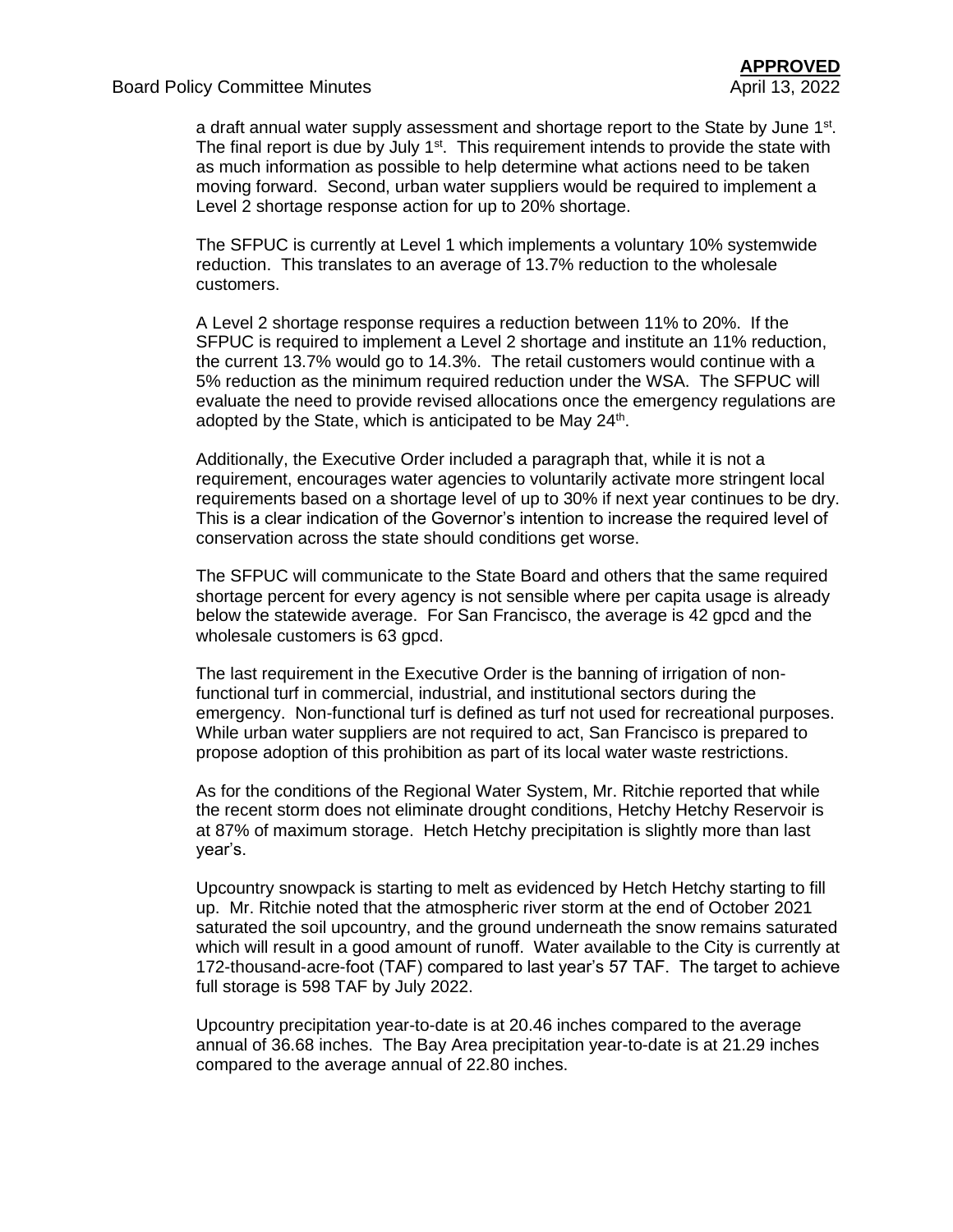a draft annual water supply assessment and shortage report to the State by June 1<sup>st</sup>. The final report is due by July  $1<sup>st</sup>$ . This requirement intends to provide the state with as much information as possible to help determine what actions need to be taken moving forward. Second, urban water suppliers would be required to implement a Level 2 shortage response action for up to 20% shortage.

The SFPUC is currently at Level 1 which implements a voluntary 10% systemwide reduction. This translates to an average of 13.7% reduction to the wholesale customers.

A Level 2 shortage response requires a reduction between 11% to 20%. If the SFPUC is required to implement a Level 2 shortage and institute an 11% reduction, the current 13.7% would go to 14.3%. The retail customers would continue with a 5% reduction as the minimum required reduction under the WSA. The SFPUC will evaluate the need to provide revised allocations once the emergency regulations are adopted by the State, which is anticipated to be May  $24<sup>th</sup>$ .

Additionally, the Executive Order included a paragraph that, while it is not a requirement, encourages water agencies to voluntarily activate more stringent local requirements based on a shortage level of up to 30% if next year continues to be dry. This is a clear indication of the Governor's intention to increase the required level of conservation across the state should conditions get worse.

The SFPUC will communicate to the State Board and others that the same required shortage percent for every agency is not sensible where per capita usage is already below the statewide average. For San Francisco, the average is 42 gpcd and the wholesale customers is 63 apcd.

The last requirement in the Executive Order is the banning of irrigation of nonfunctional turf in commercial, industrial, and institutional sectors during the emergency. Non-functional turf is defined as turf not used for recreational purposes. While urban water suppliers are not required to act, San Francisco is prepared to propose adoption of this prohibition as part of its local water waste restrictions.

As for the conditions of the Regional Water System, Mr. Ritchie reported that while the recent storm does not eliminate drought conditions, Hetchy Hetchy Reservoir is at 87% of maximum storage. Hetch Hetchy precipitation is slightly more than last year's.

Upcountry snowpack is starting to melt as evidenced by Hetch Hetchy starting to fill up. Mr. Ritchie noted that the atmospheric river storm at the end of October 2021 saturated the soil upcountry, and the ground underneath the snow remains saturated which will result in a good amount of runoff. Water available to the City is currently at 172-thousand-acre-foot (TAF) compared to last year's 57 TAF. The target to achieve full storage is 598 TAF by July 2022.

Upcountry precipitation year-to-date is at 20.46 inches compared to the average annual of 36.68 inches. The Bay Area precipitation year-to-date is at 21.29 inches compared to the average annual of 22.80 inches.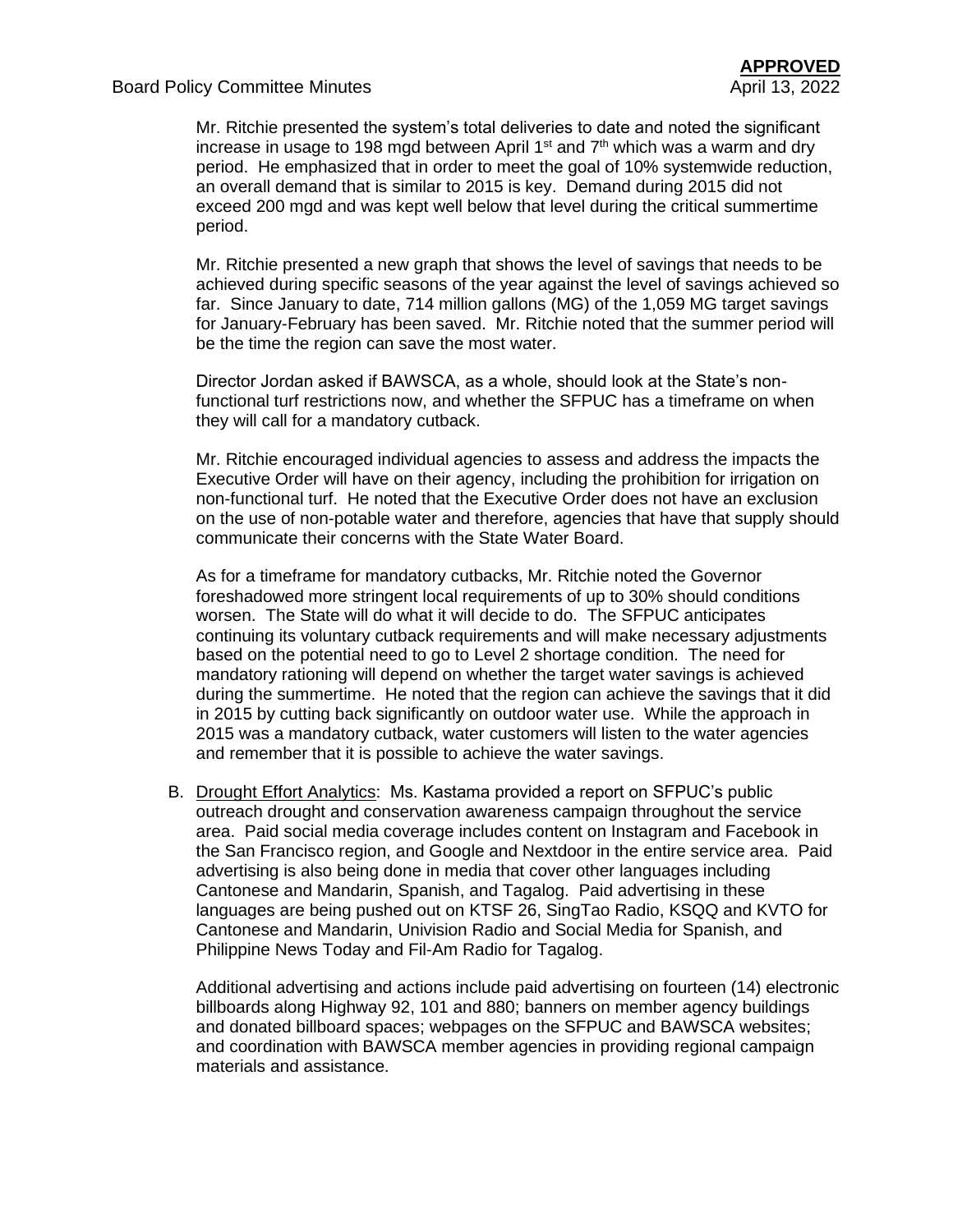Mr. Ritchie presented the system's total deliveries to date and noted the significant increase in usage to 198 mgd between April 1<sup>st</sup> and  $7<sup>th</sup>$  which was a warm and dry period. He emphasized that in order to meet the goal of 10% systemwide reduction, an overall demand that is similar to 2015 is key. Demand during 2015 did not exceed 200 mgd and was kept well below that level during the critical summertime period.

Mr. Ritchie presented a new graph that shows the level of savings that needs to be achieved during specific seasons of the year against the level of savings achieved so far. Since January to date, 714 million gallons (MG) of the 1,059 MG target savings for January-February has been saved. Mr. Ritchie noted that the summer period will be the time the region can save the most water.

Director Jordan asked if BAWSCA, as a whole, should look at the State's nonfunctional turf restrictions now, and whether the SFPUC has a timeframe on when they will call for a mandatory cutback.

Mr. Ritchie encouraged individual agencies to assess and address the impacts the Executive Order will have on their agency, including the prohibition for irrigation on non-functional turf. He noted that the Executive Order does not have an exclusion on the use of non-potable water and therefore, agencies that have that supply should communicate their concerns with the State Water Board.

As for a timeframe for mandatory cutbacks, Mr. Ritchie noted the Governor foreshadowed more stringent local requirements of up to 30% should conditions worsen. The State will do what it will decide to do. The SFPUC anticipates continuing its voluntary cutback requirements and will make necessary adjustments based on the potential need to go to Level 2 shortage condition. The need for mandatory rationing will depend on whether the target water savings is achieved during the summertime. He noted that the region can achieve the savings that it did in 2015 by cutting back significantly on outdoor water use. While the approach in 2015 was a mandatory cutback, water customers will listen to the water agencies and remember that it is possible to achieve the water savings.

B. Drought Effort Analytics: Ms. Kastama provided a report on SFPUC's public outreach drought and conservation awareness campaign throughout the service area. Paid social media coverage includes content on Instagram and Facebook in the San Francisco region, and Google and Nextdoor in the entire service area. Paid advertising is also being done in media that cover other languages including Cantonese and Mandarin, Spanish, and Tagalog. Paid advertising in these languages are being pushed out on KTSF 26, SingTao Radio, KSQQ and KVTO for Cantonese and Mandarin, Univision Radio and Social Media for Spanish, and Philippine News Today and Fil-Am Radio for Tagalog.

Additional advertising and actions include paid advertising on fourteen (14) electronic billboards along Highway 92, 101 and 880; banners on member agency buildings and donated billboard spaces; webpages on the SFPUC and BAWSCA websites; and coordination with BAWSCA member agencies in providing regional campaign materials and assistance.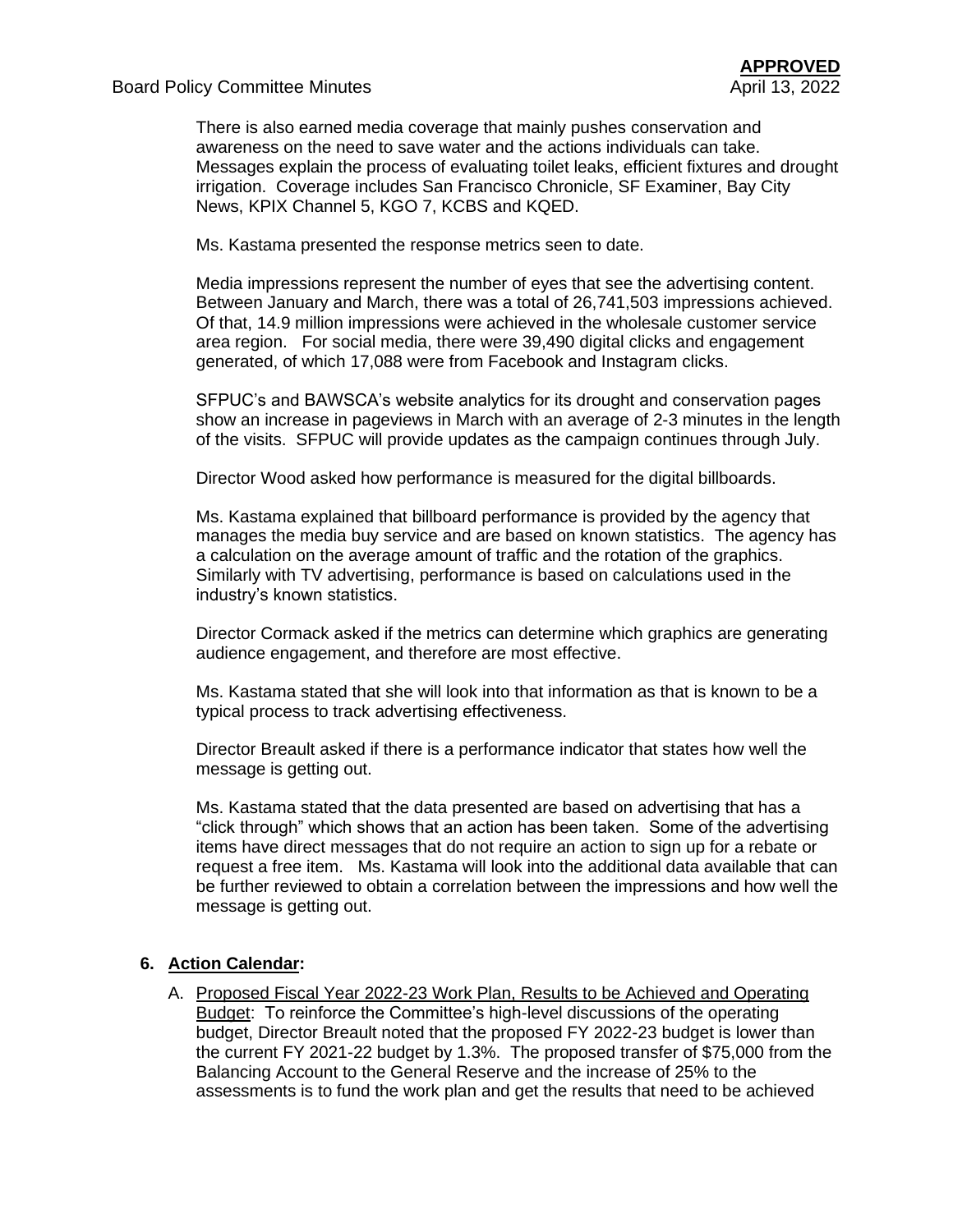There is also earned media coverage that mainly pushes conservation and awareness on the need to save water and the actions individuals can take. Messages explain the process of evaluating toilet leaks, efficient fixtures and drought irrigation. Coverage includes San Francisco Chronicle, SF Examiner, Bay City News, KPIX Channel 5, KGO 7, KCBS and KQED.

Ms. Kastama presented the response metrics seen to date.

Media impressions represent the number of eyes that see the advertising content. Between January and March, there was a total of 26,741,503 impressions achieved. Of that, 14.9 million impressions were achieved in the wholesale customer service area region. For social media, there were 39,490 digital clicks and engagement generated, of which 17,088 were from Facebook and Instagram clicks.

SFPUC's and BAWSCA's website analytics for its drought and conservation pages show an increase in pageviews in March with an average of 2-3 minutes in the length of the visits. SFPUC will provide updates as the campaign continues through July.

Director Wood asked how performance is measured for the digital billboards.

Ms. Kastama explained that billboard performance is provided by the agency that manages the media buy service and are based on known statistics. The agency has a calculation on the average amount of traffic and the rotation of the graphics. Similarly with TV advertising, performance is based on calculations used in the industry's known statistics.

Director Cormack asked if the metrics can determine which graphics are generating audience engagement, and therefore are most effective.

Ms. Kastama stated that she will look into that information as that is known to be a typical process to track advertising effectiveness.

Director Breault asked if there is a performance indicator that states how well the message is getting out.

Ms. Kastama stated that the data presented are based on advertising that has a "click through" which shows that an action has been taken. Some of the advertising items have direct messages that do not require an action to sign up for a rebate or request a free item. Ms. Kastama will look into the additional data available that can be further reviewed to obtain a correlation between the impressions and how well the message is getting out.

## **6. Action Calendar:**

A. Proposed Fiscal Year 2022-23 Work Plan, Results to be Achieved and Operating Budget: To reinforce the Committee's high-level discussions of the operating budget, Director Breault noted that the proposed FY 2022-23 budget is lower than the current FY 2021-22 budget by 1.3%. The proposed transfer of \$75,000 from the Balancing Account to the General Reserve and the increase of 25% to the assessments is to fund the work plan and get the results that need to be achieved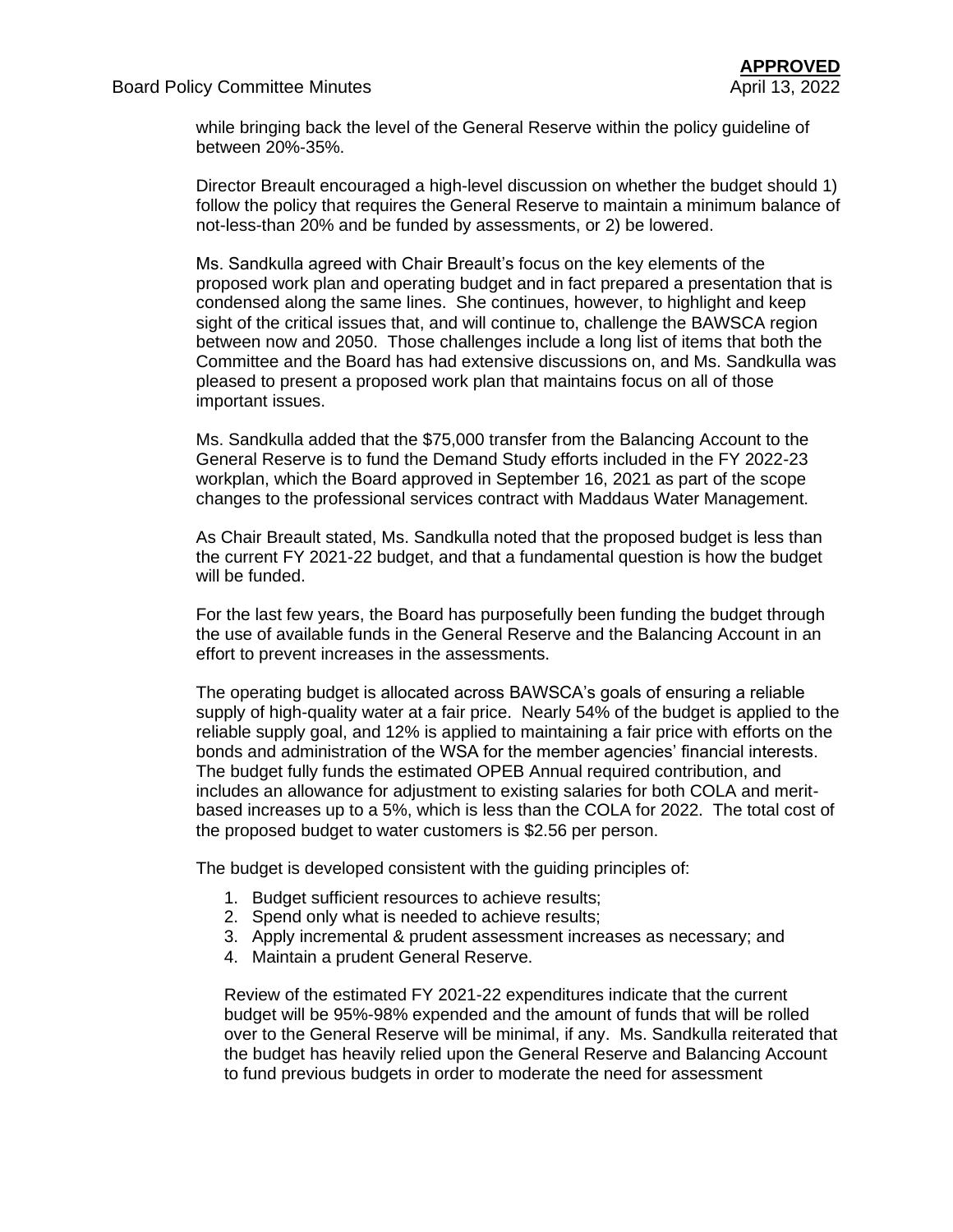while bringing back the level of the General Reserve within the policy guideline of between 20%-35%.

Director Breault encouraged a high-level discussion on whether the budget should 1) follow the policy that requires the General Reserve to maintain a minimum balance of not-less-than 20% and be funded by assessments, or 2) be lowered.

Ms. Sandkulla agreed with Chair Breault's focus on the key elements of the proposed work plan and operating budget and in fact prepared a presentation that is condensed along the same lines. She continues, however, to highlight and keep sight of the critical issues that, and will continue to, challenge the BAWSCA region between now and 2050. Those challenges include a long list of items that both the Committee and the Board has had extensive discussions on, and Ms. Sandkulla was pleased to present a proposed work plan that maintains focus on all of those important issues.

Ms. Sandkulla added that the \$75,000 transfer from the Balancing Account to the General Reserve is to fund the Demand Study efforts included in the FY 2022-23 workplan, which the Board approved in September 16, 2021 as part of the scope changes to the professional services contract with Maddaus Water Management.

As Chair Breault stated, Ms. Sandkulla noted that the proposed budget is less than the current FY 2021-22 budget, and that a fundamental question is how the budget will be funded.

For the last few years, the Board has purposefully been funding the budget through the use of available funds in the General Reserve and the Balancing Account in an effort to prevent increases in the assessments.

The operating budget is allocated across BAWSCA's goals of ensuring a reliable supply of high-quality water at a fair price. Nearly 54% of the budget is applied to the reliable supply goal, and 12% is applied to maintaining a fair price with efforts on the bonds and administration of the WSA for the member agencies' financial interests. The budget fully funds the estimated OPEB Annual required contribution, and includes an allowance for adjustment to existing salaries for both COLA and meritbased increases up to a 5%, which is less than the COLA for 2022. The total cost of the proposed budget to water customers is \$2.56 per person.

The budget is developed consistent with the guiding principles of:

- 1. Budget sufficient resources to achieve results;
- 2. Spend only what is needed to achieve results;
- 3. Apply incremental & prudent assessment increases as necessary; and
- 4. Maintain a prudent General Reserve.

Review of the estimated FY 2021-22 expenditures indicate that the current budget will be 95%-98% expended and the amount of funds that will be rolled over to the General Reserve will be minimal, if any. Ms. Sandkulla reiterated that the budget has heavily relied upon the General Reserve and Balancing Account to fund previous budgets in order to moderate the need for assessment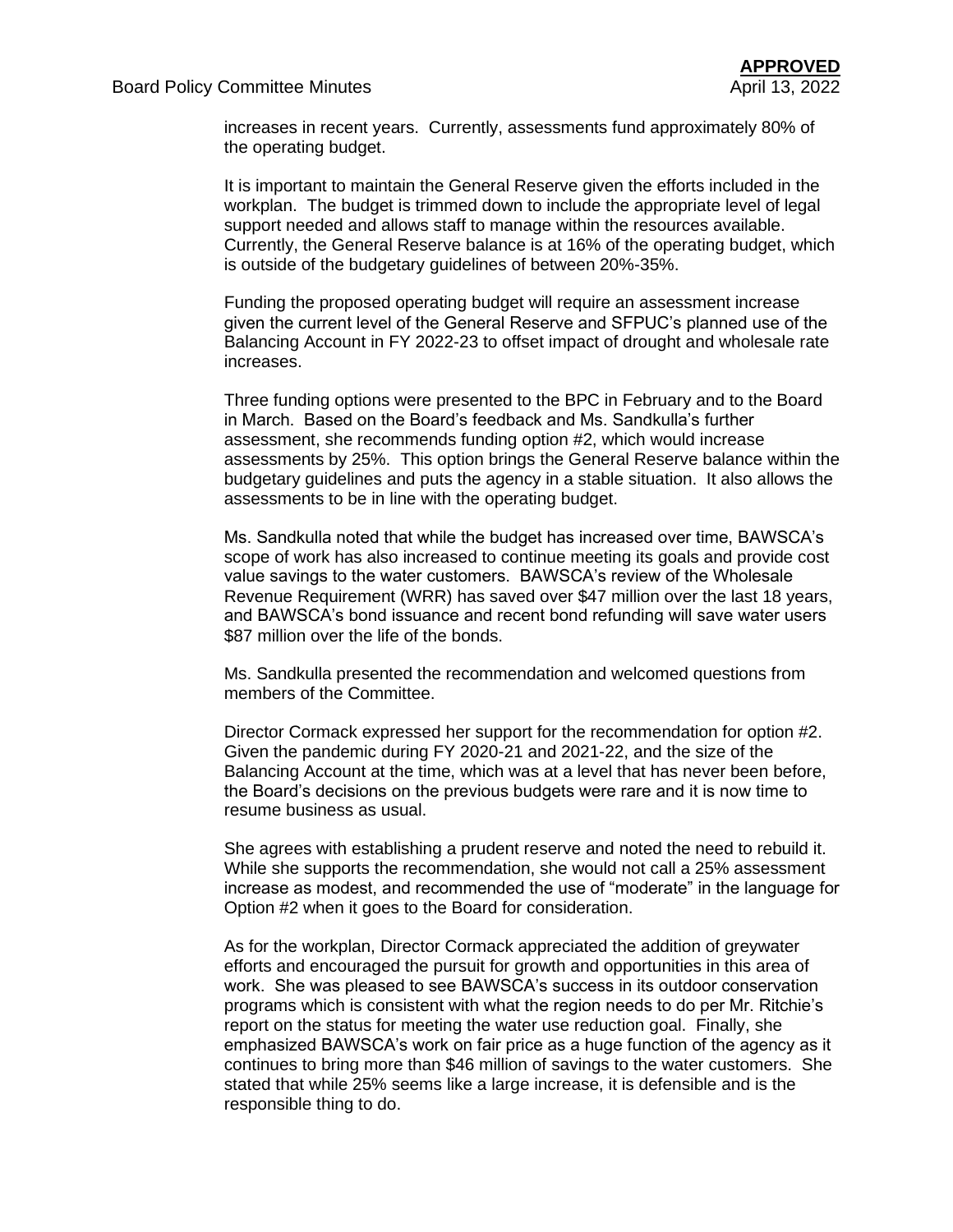increases in recent years. Currently, assessments fund approximately 80% of the operating budget.

It is important to maintain the General Reserve given the efforts included in the workplan. The budget is trimmed down to include the appropriate level of legal support needed and allows staff to manage within the resources available. Currently, the General Reserve balance is at 16% of the operating budget, which is outside of the budgetary guidelines of between 20%-35%.

Funding the proposed operating budget will require an assessment increase given the current level of the General Reserve and SFPUC's planned use of the Balancing Account in FY 2022-23 to offset impact of drought and wholesale rate increases.

Three funding options were presented to the BPC in February and to the Board in March. Based on the Board's feedback and Ms. Sandkulla's further assessment, she recommends funding option #2, which would increase assessments by 25%. This option brings the General Reserve balance within the budgetary guidelines and puts the agency in a stable situation. It also allows the assessments to be in line with the operating budget.

Ms. Sandkulla noted that while the budget has increased over time, BAWSCA's scope of work has also increased to continue meeting its goals and provide cost value savings to the water customers. BAWSCA's review of the Wholesale Revenue Requirement (WRR) has saved over \$47 million over the last 18 years, and BAWSCA's bond issuance and recent bond refunding will save water users \$87 million over the life of the bonds.

Ms. Sandkulla presented the recommendation and welcomed questions from members of the Committee.

Director Cormack expressed her support for the recommendation for option #2. Given the pandemic during FY 2020-21 and 2021-22, and the size of the Balancing Account at the time, which was at a level that has never been before, the Board's decisions on the previous budgets were rare and it is now time to resume business as usual.

She agrees with establishing a prudent reserve and noted the need to rebuild it. While she supports the recommendation, she would not call a 25% assessment increase as modest, and recommended the use of "moderate" in the language for Option #2 when it goes to the Board for consideration.

As for the workplan, Director Cormack appreciated the addition of greywater efforts and encouraged the pursuit for growth and opportunities in this area of work. She was pleased to see BAWSCA's success in its outdoor conservation programs which is consistent with what the region needs to do per Mr. Ritchie's report on the status for meeting the water use reduction goal. Finally, she emphasized BAWSCA's work on fair price as a huge function of the agency as it continues to bring more than \$46 million of savings to the water customers. She stated that while 25% seems like a large increase, it is defensible and is the responsible thing to do.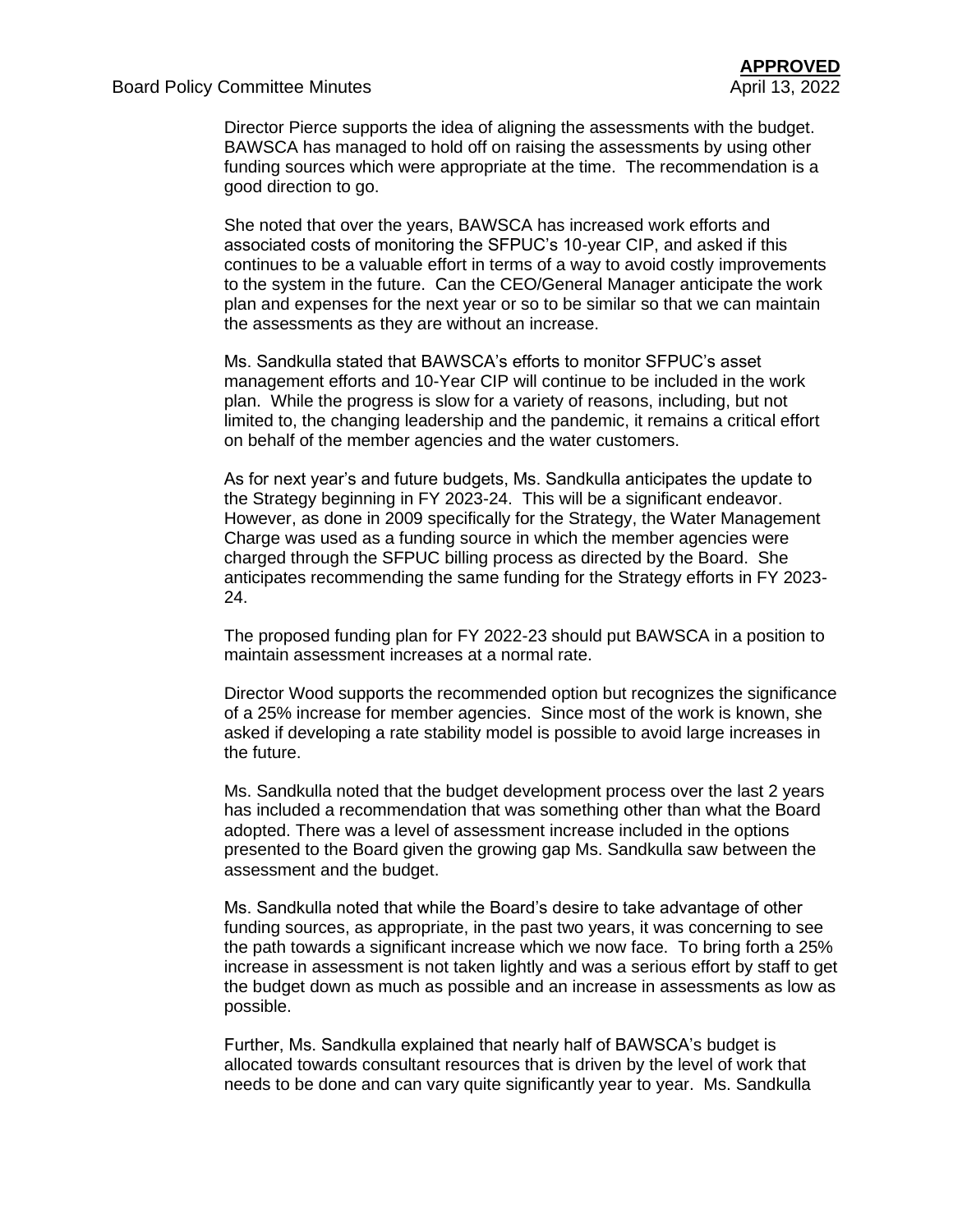Director Pierce supports the idea of aligning the assessments with the budget. BAWSCA has managed to hold off on raising the assessments by using other funding sources which were appropriate at the time. The recommendation is a good direction to go.

She noted that over the years, BAWSCA has increased work efforts and associated costs of monitoring the SFPUC's 10-year CIP, and asked if this continues to be a valuable effort in terms of a way to avoid costly improvements to the system in the future. Can the CEO/General Manager anticipate the work plan and expenses for the next year or so to be similar so that we can maintain the assessments as they are without an increase.

Ms. Sandkulla stated that BAWSCA's efforts to monitor SFPUC's asset management efforts and 10-Year CIP will continue to be included in the work plan. While the progress is slow for a variety of reasons, including, but not limited to, the changing leadership and the pandemic, it remains a critical effort on behalf of the member agencies and the water customers.

As for next year's and future budgets, Ms. Sandkulla anticipates the update to the Strategy beginning in FY 2023-24. This will be a significant endeavor. However, as done in 2009 specifically for the Strategy, the Water Management Charge was used as a funding source in which the member agencies were charged through the SFPUC billing process as directed by the Board. She anticipates recommending the same funding for the Strategy efforts in FY 2023- 24.

The proposed funding plan for FY 2022-23 should put BAWSCA in a position to maintain assessment increases at a normal rate.

Director Wood supports the recommended option but recognizes the significance of a 25% increase for member agencies. Since most of the work is known, she asked if developing a rate stability model is possible to avoid large increases in the future.

Ms. Sandkulla noted that the budget development process over the last 2 years has included a recommendation that was something other than what the Board adopted. There was a level of assessment increase included in the options presented to the Board given the growing gap Ms. Sandkulla saw between the assessment and the budget.

Ms. Sandkulla noted that while the Board's desire to take advantage of other funding sources, as appropriate, in the past two years, it was concerning to see the path towards a significant increase which we now face. To bring forth a 25% increase in assessment is not taken lightly and was a serious effort by staff to get the budget down as much as possible and an increase in assessments as low as possible.

Further, Ms. Sandkulla explained that nearly half of BAWSCA's budget is allocated towards consultant resources that is driven by the level of work that needs to be done and can vary quite significantly year to year. Ms. Sandkulla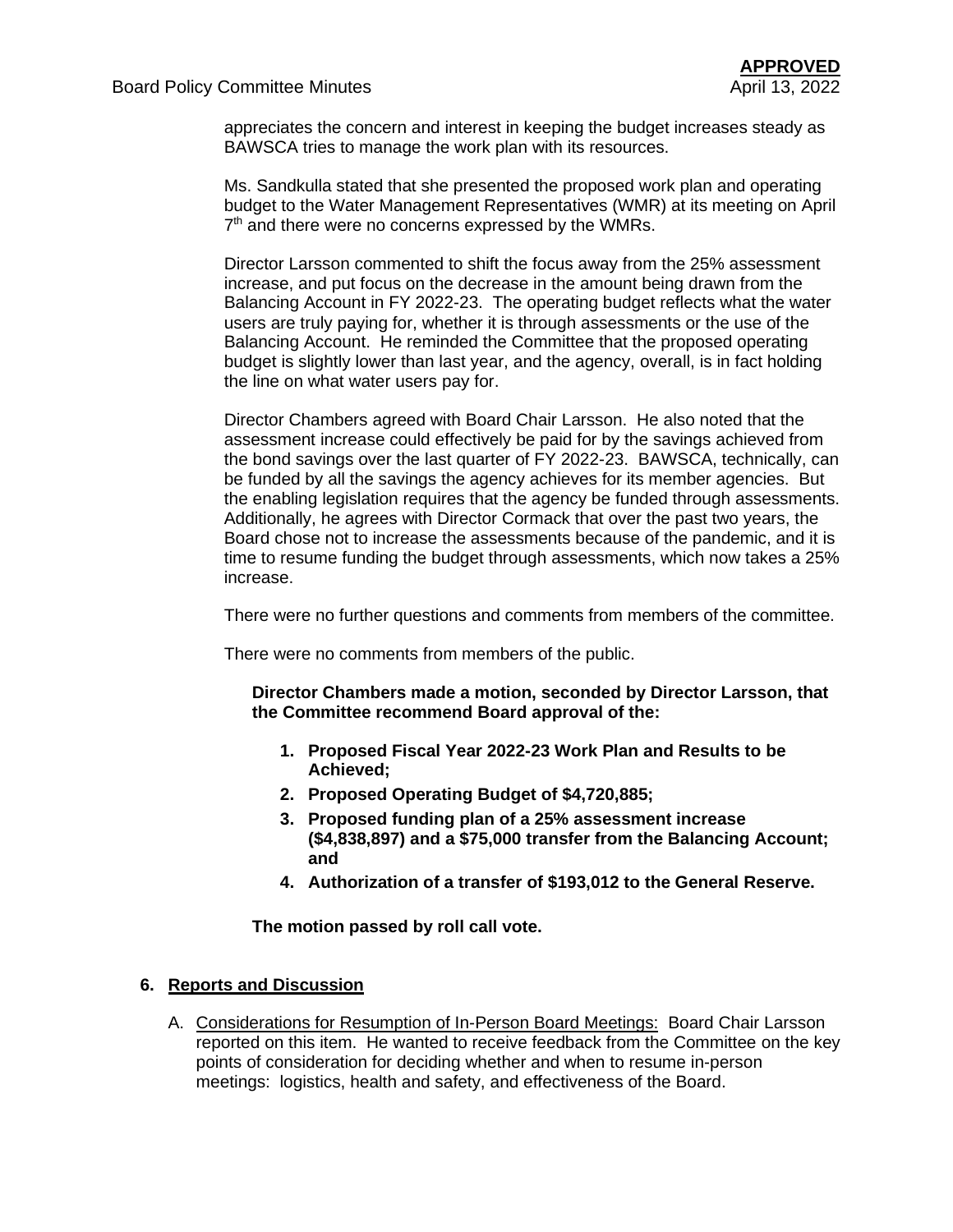appreciates the concern and interest in keeping the budget increases steady as BAWSCA tries to manage the work plan with its resources.

Ms. Sandkulla stated that she presented the proposed work plan and operating budget to the Water Management Representatives (WMR) at its meeting on April 7<sup>th</sup> and there were no concerns expressed by the WMRs.

Director Larsson commented to shift the focus away from the 25% assessment increase, and put focus on the decrease in the amount being drawn from the Balancing Account in FY 2022-23. The operating budget reflects what the water users are truly paying for, whether it is through assessments or the use of the Balancing Account. He reminded the Committee that the proposed operating budget is slightly lower than last year, and the agency, overall, is in fact holding the line on what water users pay for.

Director Chambers agreed with Board Chair Larsson. He also noted that the assessment increase could effectively be paid for by the savings achieved from the bond savings over the last quarter of FY 2022-23. BAWSCA, technically, can be funded by all the savings the agency achieves for its member agencies. But the enabling legislation requires that the agency be funded through assessments. Additionally, he agrees with Director Cormack that over the past two years, the Board chose not to increase the assessments because of the pandemic, and it is time to resume funding the budget through assessments, which now takes a 25% increase.

There were no further questions and comments from members of the committee.

There were no comments from members of the public.

**Director Chambers made a motion, seconded by Director Larsson, that the Committee recommend Board approval of the:** 

- **1. Proposed Fiscal Year 2022-23 Work Plan and Results to be Achieved;**
- **2. Proposed Operating Budget of \$4,720,885;**
- **3. Proposed funding plan of a 25% assessment increase (\$4,838,897) and a \$75,000 transfer from the Balancing Account; and**
- **4. Authorization of a transfer of \$193,012 to the General Reserve.**

**The motion passed by roll call vote.**

#### **6. Reports and Discussion**

A. Considerations for Resumption of In-Person Board Meetings: Board Chair Larsson reported on this item. He wanted to receive feedback from the Committee on the key points of consideration for deciding whether and when to resume in-person meetings: logistics, health and safety, and effectiveness of the Board.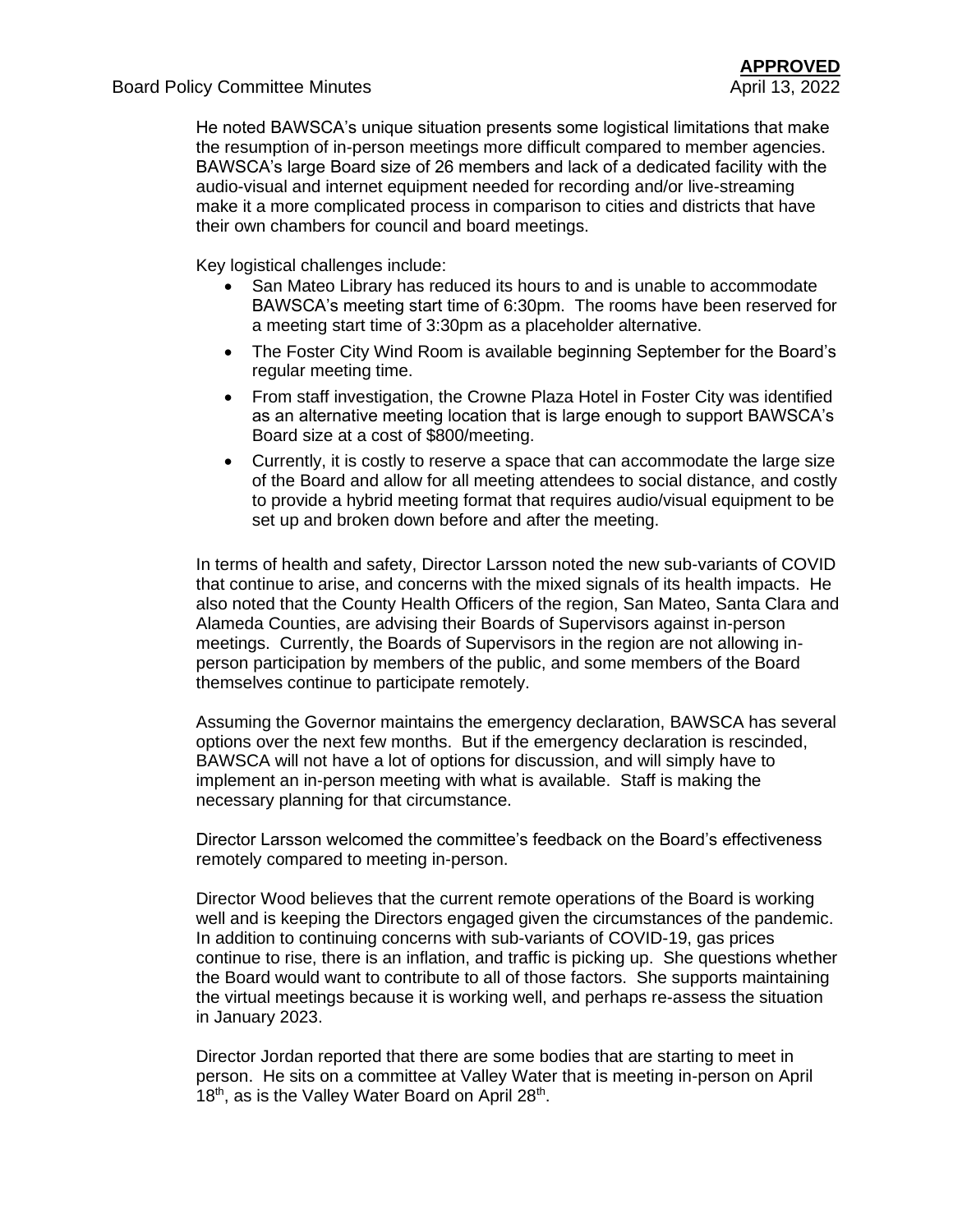He noted BAWSCA's unique situation presents some logistical limitations that make the resumption of in-person meetings more difficult compared to member agencies. BAWSCA's large Board size of 26 members and lack of a dedicated facility with the audio-visual and internet equipment needed for recording and/or live-streaming make it a more complicated process in comparison to cities and districts that have their own chambers for council and board meetings.

Key logistical challenges include:

- San Mateo Library has reduced its hours to and is unable to accommodate BAWSCA's meeting start time of 6:30pm. The rooms have been reserved for a meeting start time of 3:30pm as a placeholder alternative.
- The Foster City Wind Room is available beginning September for the Board's regular meeting time.
- From staff investigation, the Crowne Plaza Hotel in Foster City was identified as an alternative meeting location that is large enough to support BAWSCA's Board size at a cost of \$800/meeting.
- Currently, it is costly to reserve a space that can accommodate the large size of the Board and allow for all meeting attendees to social distance, and costly to provide a hybrid meeting format that requires audio/visual equipment to be set up and broken down before and after the meeting.

In terms of health and safety, Director Larsson noted the new sub-variants of COVID that continue to arise, and concerns with the mixed signals of its health impacts. He also noted that the County Health Officers of the region, San Mateo, Santa Clara and Alameda Counties, are advising their Boards of Supervisors against in-person meetings. Currently, the Boards of Supervisors in the region are not allowing inperson participation by members of the public, and some members of the Board themselves continue to participate remotely.

Assuming the Governor maintains the emergency declaration, BAWSCA has several options over the next few months. But if the emergency declaration is rescinded, BAWSCA will not have a lot of options for discussion, and will simply have to implement an in-person meeting with what is available. Staff is making the necessary planning for that circumstance.

Director Larsson welcomed the committee's feedback on the Board's effectiveness remotely compared to meeting in-person.

Director Wood believes that the current remote operations of the Board is working well and is keeping the Directors engaged given the circumstances of the pandemic. In addition to continuing concerns with sub-variants of COVID-19, gas prices continue to rise, there is an inflation, and traffic is picking up. She questions whether the Board would want to contribute to all of those factors. She supports maintaining the virtual meetings because it is working well, and perhaps re-assess the situation in January 2023.

Director Jordan reported that there are some bodies that are starting to meet in person. He sits on a committee at Valley Water that is meeting in-person on April 18<sup>th</sup>, as is the Valley Water Board on April 28<sup>th</sup>.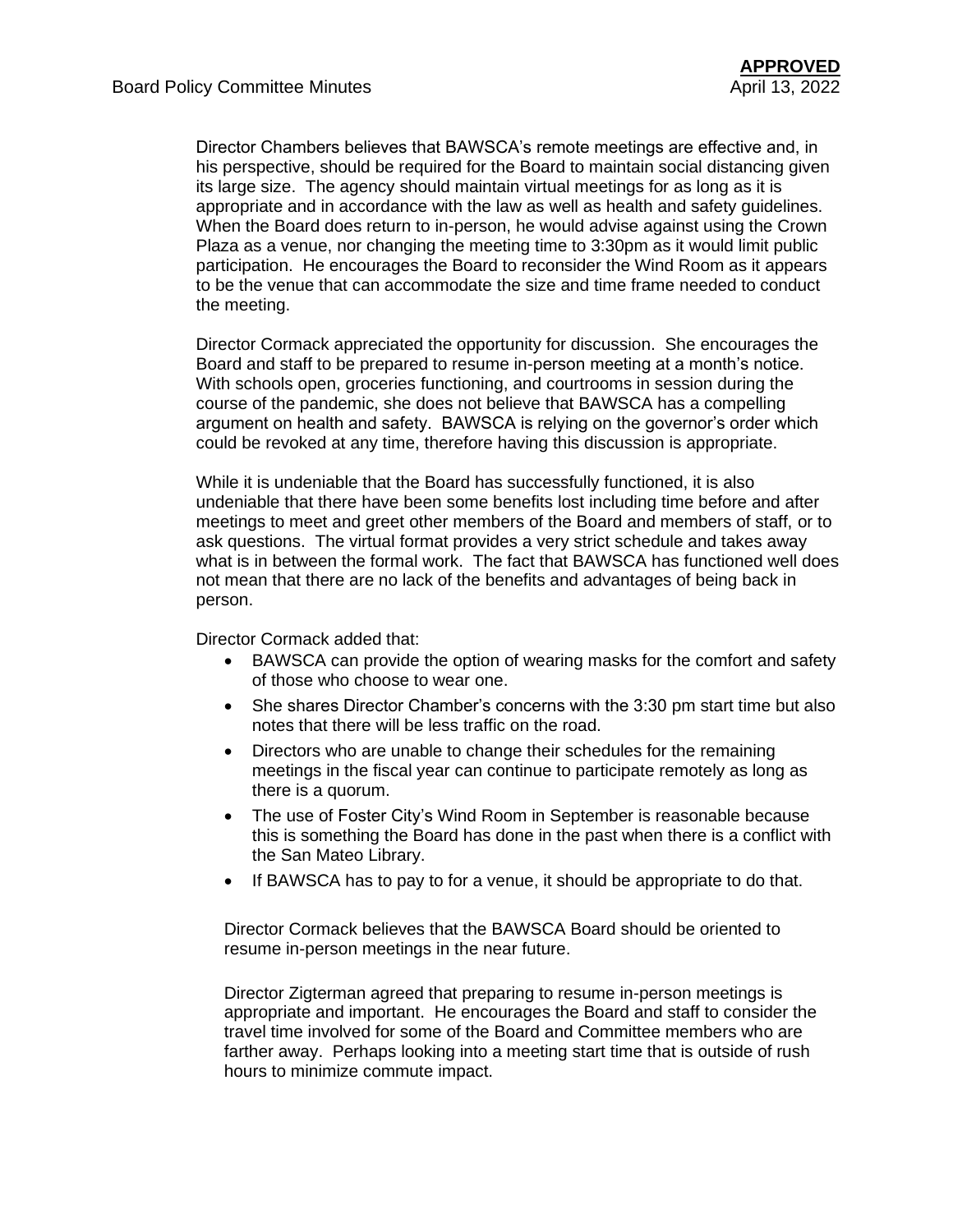Director Chambers believes that BAWSCA's remote meetings are effective and, in his perspective, should be required for the Board to maintain social distancing given its large size. The agency should maintain virtual meetings for as long as it is appropriate and in accordance with the law as well as health and safety guidelines. When the Board does return to in-person, he would advise against using the Crown Plaza as a venue, nor changing the meeting time to 3:30pm as it would limit public participation. He encourages the Board to reconsider the Wind Room as it appears to be the venue that can accommodate the size and time frame needed to conduct the meeting.

Director Cormack appreciated the opportunity for discussion. She encourages the Board and staff to be prepared to resume in-person meeting at a month's notice. With schools open, groceries functioning, and courtrooms in session during the course of the pandemic, she does not believe that BAWSCA has a compelling argument on health and safety. BAWSCA is relying on the governor's order which could be revoked at any time, therefore having this discussion is appropriate.

While it is undeniable that the Board has successfully functioned, it is also undeniable that there have been some benefits lost including time before and after meetings to meet and greet other members of the Board and members of staff, or to ask questions. The virtual format provides a very strict schedule and takes away what is in between the formal work. The fact that BAWSCA has functioned well does not mean that there are no lack of the benefits and advantages of being back in person.

Director Cormack added that:

- BAWSCA can provide the option of wearing masks for the comfort and safety of those who choose to wear one.
- She shares Director Chamber's concerns with the 3:30 pm start time but also notes that there will be less traffic on the road.
- Directors who are unable to change their schedules for the remaining meetings in the fiscal year can continue to participate remotely as long as there is a quorum.
- The use of Foster City's Wind Room in September is reasonable because this is something the Board has done in the past when there is a conflict with the San Mateo Library.
- If BAWSCA has to pay to for a venue, it should be appropriate to do that.

Director Cormack believes that the BAWSCA Board should be oriented to resume in-person meetings in the near future.

Director Zigterman agreed that preparing to resume in-person meetings is appropriate and important. He encourages the Board and staff to consider the travel time involved for some of the Board and Committee members who are farther away. Perhaps looking into a meeting start time that is outside of rush hours to minimize commute impact.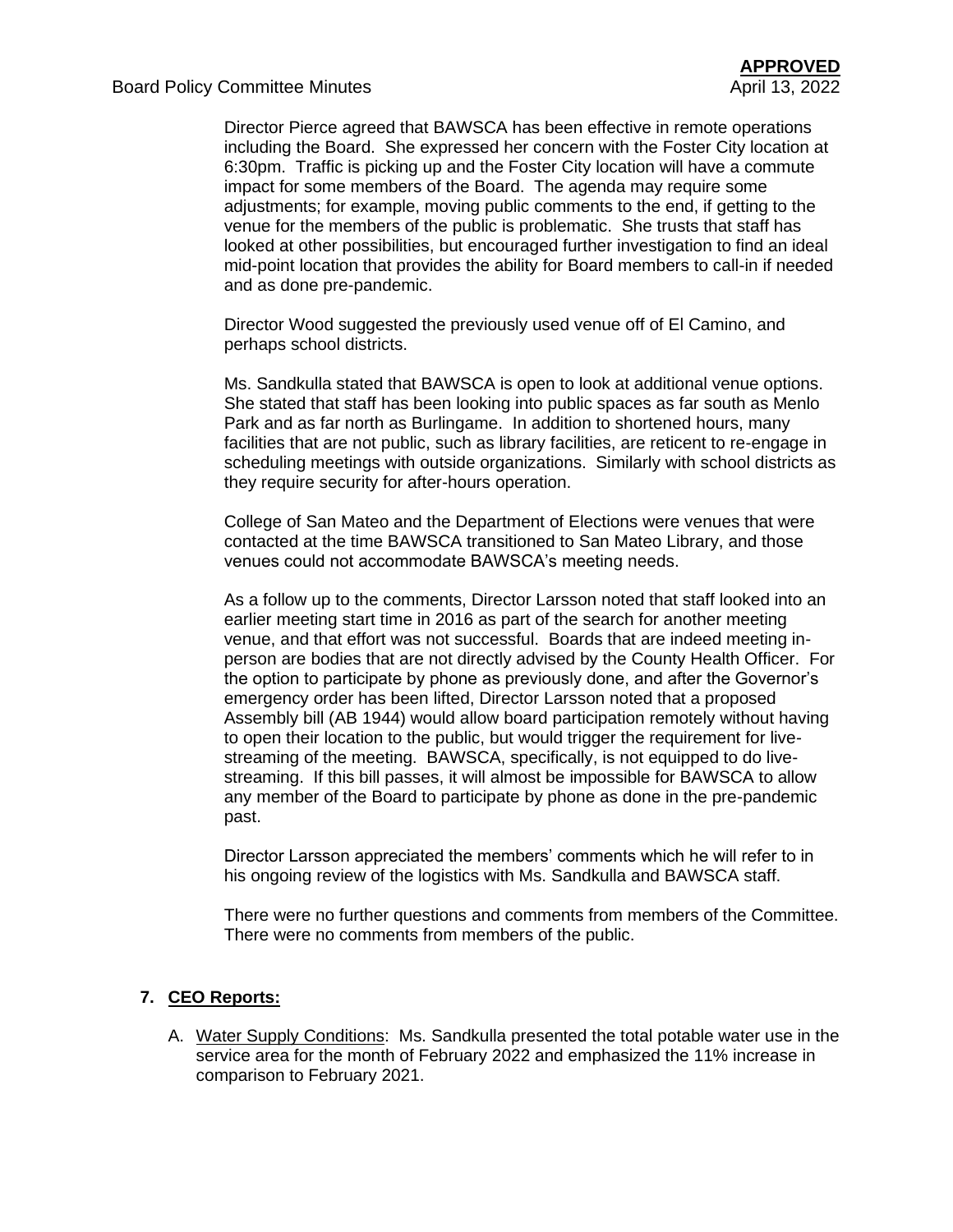Director Pierce agreed that BAWSCA has been effective in remote operations including the Board. She expressed her concern with the Foster City location at 6:30pm. Traffic is picking up and the Foster City location will have a commute impact for some members of the Board. The agenda may require some adjustments; for example, moving public comments to the end, if getting to the venue for the members of the public is problematic. She trusts that staff has looked at other possibilities, but encouraged further investigation to find an ideal mid-point location that provides the ability for Board members to call-in if needed and as done pre-pandemic.

Director Wood suggested the previously used venue off of El Camino, and perhaps school districts.

Ms. Sandkulla stated that BAWSCA is open to look at additional venue options. She stated that staff has been looking into public spaces as far south as Menlo Park and as far north as Burlingame. In addition to shortened hours, many facilities that are not public, such as library facilities, are reticent to re-engage in scheduling meetings with outside organizations. Similarly with school districts as they require security for after-hours operation.

College of San Mateo and the Department of Elections were venues that were contacted at the time BAWSCA transitioned to San Mateo Library, and those venues could not accommodate BAWSCA's meeting needs.

As a follow up to the comments, Director Larsson noted that staff looked into an earlier meeting start time in 2016 as part of the search for another meeting venue, and that effort was not successful. Boards that are indeed meeting inperson are bodies that are not directly advised by the County Health Officer. For the option to participate by phone as previously done, and after the Governor's emergency order has been lifted, Director Larsson noted that a proposed Assembly bill (AB 1944) would allow board participation remotely without having to open their location to the public, but would trigger the requirement for livestreaming of the meeting. BAWSCA, specifically, is not equipped to do livestreaming. If this bill passes, it will almost be impossible for BAWSCA to allow any member of the Board to participate by phone as done in the pre-pandemic past.

Director Larsson appreciated the members' comments which he will refer to in his ongoing review of the logistics with Ms. Sandkulla and BAWSCA staff.

There were no further questions and comments from members of the Committee. There were no comments from members of the public.

## **7. CEO Reports:**

A. Water Supply Conditions: Ms. Sandkulla presented the total potable water use in the service area for the month of February 2022 and emphasized the 11% increase in comparison to February 2021.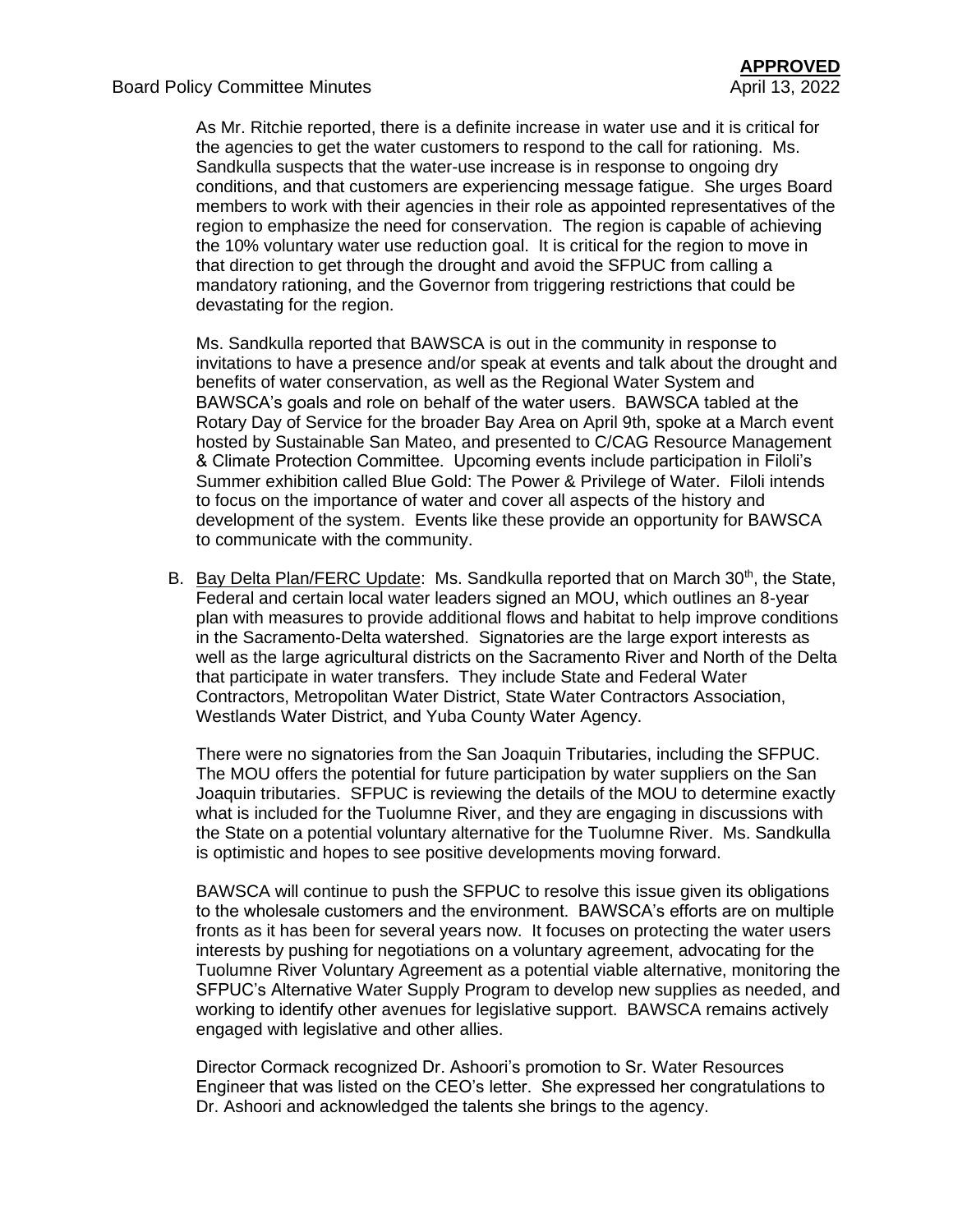As Mr. Ritchie reported, there is a definite increase in water use and it is critical for the agencies to get the water customers to respond to the call for rationing. Ms. Sandkulla suspects that the water-use increase is in response to ongoing dry conditions, and that customers are experiencing message fatigue. She urges Board members to work with their agencies in their role as appointed representatives of the region to emphasize the need for conservation. The region is capable of achieving the 10% voluntary water use reduction goal. It is critical for the region to move in that direction to get through the drought and avoid the SFPUC from calling a mandatory rationing, and the Governor from triggering restrictions that could be devastating for the region.

Ms. Sandkulla reported that BAWSCA is out in the community in response to invitations to have a presence and/or speak at events and talk about the drought and benefits of water conservation, as well as the Regional Water System and BAWSCA's goals and role on behalf of the water users. BAWSCA tabled at the Rotary Day of Service for the broader Bay Area on April 9th, spoke at a March event hosted by Sustainable San Mateo, and presented to C/CAG Resource Management & Climate Protection Committee. Upcoming events include participation in Filoli's Summer exhibition called Blue Gold: The Power & Privilege of Water. Filoli intends to focus on the importance of water and cover all aspects of the history and development of the system. Events like these provide an opportunity for BAWSCA to communicate with the community.

B. Bay Delta Plan/FERC Update: Ms. Sandkulla reported that on March 30<sup>th</sup>, the State, Federal and certain local water leaders signed an MOU, which outlines an 8-year plan with measures to provide additional flows and habitat to help improve conditions in the Sacramento-Delta watershed. Signatories are the large export interests as well as the large agricultural districts on the Sacramento River and North of the Delta that participate in water transfers. They include State and Federal Water Contractors, Metropolitan Water District, State Water Contractors Association, Westlands Water District, and Yuba County Water Agency.

There were no signatories from the San Joaquin Tributaries, including the SFPUC. The MOU offers the potential for future participation by water suppliers on the San Joaquin tributaries. SFPUC is reviewing the details of the MOU to determine exactly what is included for the Tuolumne River, and they are engaging in discussions with the State on a potential voluntary alternative for the Tuolumne River. Ms. Sandkulla is optimistic and hopes to see positive developments moving forward.

BAWSCA will continue to push the SFPUC to resolve this issue given its obligations to the wholesale customers and the environment. BAWSCA's efforts are on multiple fronts as it has been for several years now. It focuses on protecting the water users interests by pushing for negotiations on a voluntary agreement, advocating for the Tuolumne River Voluntary Agreement as a potential viable alternative, monitoring the SFPUC's Alternative Water Supply Program to develop new supplies as needed, and working to identify other avenues for legislative support. BAWSCA remains actively engaged with legislative and other allies.

Director Cormack recognized Dr. Ashoori's promotion to Sr. Water Resources Engineer that was listed on the CEO's letter. She expressed her congratulations to Dr. Ashoori and acknowledged the talents she brings to the agency.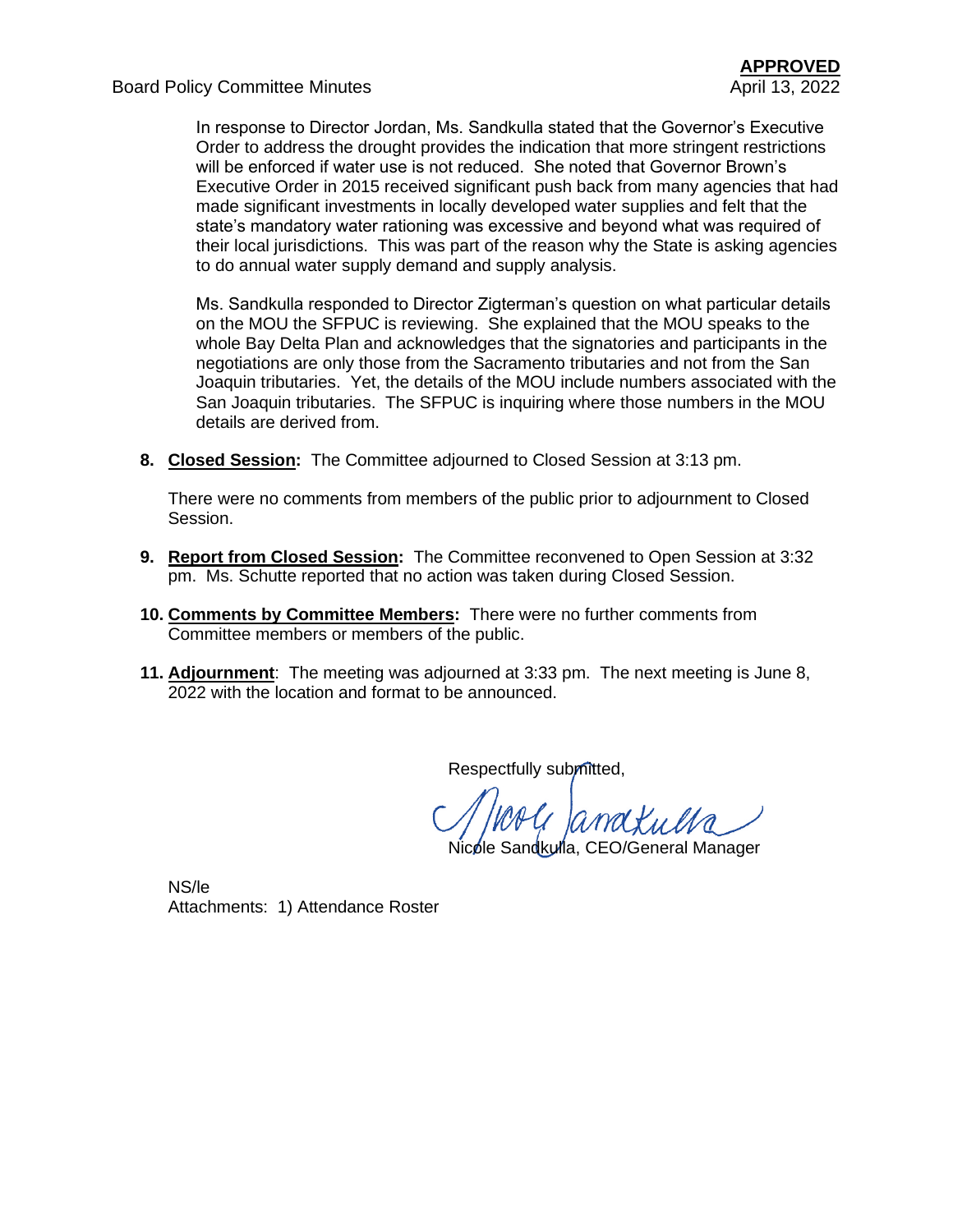Board Policy Committee Minutes April 13, 2022

In response to Director Jordan, Ms. Sandkulla stated that the Governor's Executive Order to address the drought provides the indication that more stringent restrictions will be enforced if water use is not reduced. She noted that Governor Brown's Executive Order in 2015 received significant push back from many agencies that had made significant investments in locally developed water supplies and felt that the state's mandatory water rationing was excessive and beyond what was required of their local jurisdictions. This was part of the reason why the State is asking agencies to do annual water supply demand and supply analysis.

Ms. Sandkulla responded to Director Zigterman's question on what particular details on the MOU the SFPUC is reviewing. She explained that the MOU speaks to the whole Bay Delta Plan and acknowledges that the signatories and participants in the negotiations are only those from the Sacramento tributaries and not from the San Joaquin tributaries. Yet, the details of the MOU include numbers associated with the San Joaquin tributaries. The SFPUC is inquiring where those numbers in the MOU details are derived from.

**8. Closed Session:** The Committee adjourned to Closed Session at 3:13 pm.

There were no comments from members of the public prior to adjournment to Closed Session.

- **9. Report from Closed Session:** The Committee reconvened to Open Session at 3:32 pm. Ms. Schutte reported that no action was taken during Closed Session.
- **10. Comments by Committee Members:** There were no further comments from Committee members or members of the public.
- **11. Adjournment**: The meeting was adjourned at 3:33 pm. The next meeting is June 8, 2022 with the location and format to be announced.

Respectfully submitted,

a Janakulta

Nicole Sandkulla, CEO/General Manager

NS/le Attachments: 1) Attendance Roster